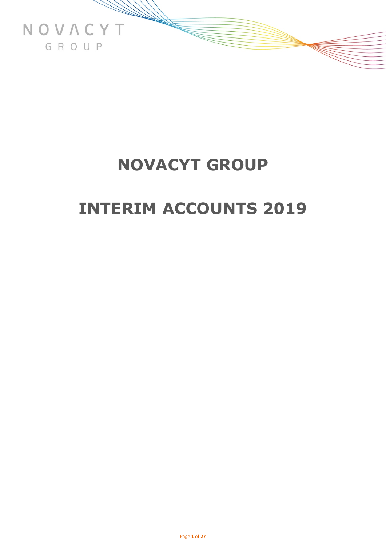

# **INTERIM ACCOUNTS 2019**

Page **1** of **27**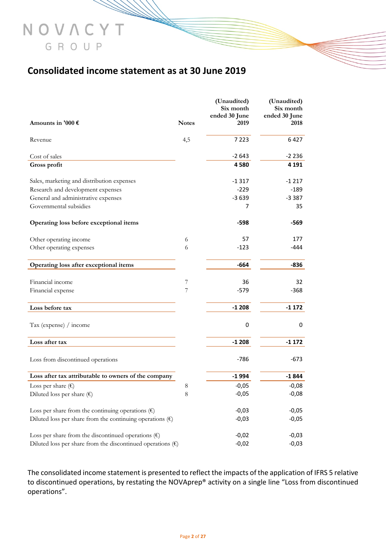# **Consolidated income statement as at 30 June 2019**

NOVACYT

GROUP

|                                                                      |              | (Unaudited)<br>Six month | (Unaudited)<br>Six month |
|----------------------------------------------------------------------|--------------|--------------------------|--------------------------|
|                                                                      |              | ended 30 June            | ended 30 June            |
| Amounts in '000 $\epsilon$                                           | <b>Notes</b> | 2019                     | 2018                     |
| Revenue                                                              | 4,5          | 7 2 2 3                  | 6427                     |
| Cost of sales                                                        |              | $-2643$                  | $-2236$                  |
| Gross profit                                                         |              | 4580                     | 4 1 9 1                  |
| Sales, marketing and distribution expenses                           |              | $-1317$                  | $-1217$                  |
| Research and development expenses                                    |              | $-229$                   | $-189$                   |
| General and administrative expenses                                  |              | $-3639$                  | $-3387$                  |
| Governmental subsidies                                               |              | 7                        | 35                       |
| Operating loss before exceptional items                              |              | -598                     | -569                     |
| Other operating income                                               | 6            | 57                       | 177                      |
| Other operating expenses                                             | 6            | $-123$                   | -444                     |
| Operating loss after exceptional items                               |              | $-664$                   | $-836$                   |
| Financial income                                                     | 7            | 36                       | 32                       |
| Financial expense                                                    | 7            | $-579$                   | $-368$                   |
| Loss before tax                                                      |              | $-1208$                  | $-1172$                  |
| Tax (expense) / income                                               |              | 0                        | 0                        |
| Loss after tax                                                       |              | $-1208$                  | $-1172$                  |
| Loss from discontinued operations                                    |              | $-786$                   | $-673$                   |
| Loss after tax attributable to owners of the company                 |              | -1994                    | $-1844$                  |
| Loss per share $(\epsilon)$                                          | 8            | $-0,05$                  | $-0,08$                  |
| Diluted loss per share $(\epsilon)$                                  | $\,8\,$      | $-0,05$                  | $-0,08$                  |
| Loss per share from the continuing operations $(\epsilon)$           |              | $-0,03$                  | $-0,05$                  |
| Diluted loss per share from the continuing operations $(\epsilon)$   |              | $-0,03$                  | $-0,05$                  |
| Loss per share from the discontinued operations $(\epsilon)$         |              | $-0,02$                  | $-0,03$                  |
| Diluted loss per share from the discontinued operations $(\epsilon)$ |              | $-0,02$                  | $-0,03$                  |

The consolidated income statement is presented to reflect the impacts of the application of IFRS 5 relative to discontinued operations, by restating the NOVAprep® activity on a single line "Loss from discontinued operations".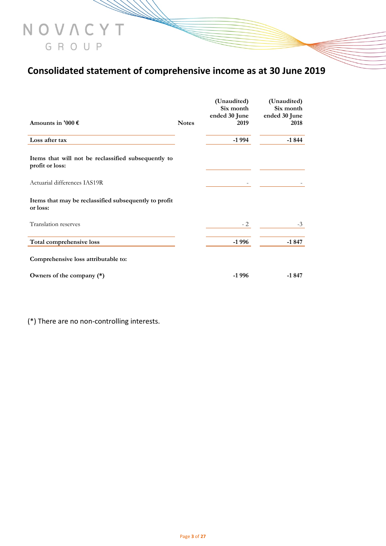# **Consolidated statement of comprehensive income as at 30 June 2019**

|                                                                        |              | (Unaudited)<br>Six month<br>ended 30 June | (Unaudited)<br>Six month<br>ended 30 June |
|------------------------------------------------------------------------|--------------|-------------------------------------------|-------------------------------------------|
| Amounts in '000 $\epsilon$                                             | <b>Notes</b> | 2019                                      | 2018                                      |
| Loss after tax                                                         |              | $-1994$                                   | $-1844$                                   |
| Items that will not be reclassified subsequently to<br>profit or loss: |              |                                           |                                           |
| Actuarial differences IAS19R                                           |              |                                           |                                           |
| Items that may be reclassified subsequently to profit<br>or loss:      |              |                                           |                                           |
| Translation reserves                                                   |              | $-2$                                      | $-3$                                      |
| Total comprehensive loss                                               |              | $-1996$                                   | $-1847$                                   |
| Comprehensive loss attributable to:                                    |              |                                           |                                           |
| Owners of the company (*)                                              |              | $-1996$                                   | $-1847$                                   |

(\*) There are no non-controlling interests.

NOVACYT

GROUP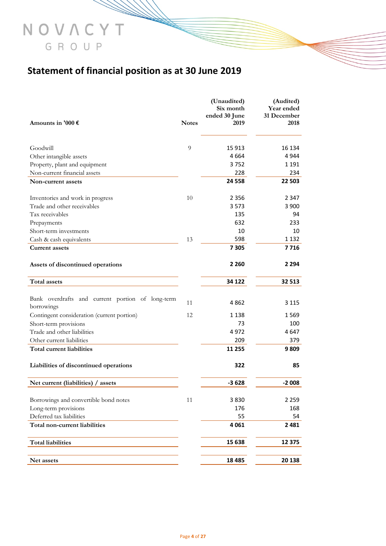# **Statement of financial position as at 30 June 2019**

NOVACYT

GROUP

| Amounts in '000 $\epsilon$                                     | <b>Notes</b> | (Unaudited)<br>Six month<br>ended 30 June<br>2019 | (Audited)<br>Year ended<br>31 December<br>2018 |
|----------------------------------------------------------------|--------------|---------------------------------------------------|------------------------------------------------|
|                                                                |              |                                                   |                                                |
| Goodwill                                                       | 9            | 15 913                                            | 16 134                                         |
| Other intangible assets                                        |              | 4 6 6 4                                           | 4944                                           |
| Property, plant and equipment                                  |              | 3752                                              | 1 1 9 1                                        |
| Non-current financial assets                                   |              | 228                                               | 234                                            |
| Non-current assets                                             |              | 24 5 58                                           | 22 503                                         |
| Inventories and work in progress                               | 10           | 2 3 5 6                                           | 2 347                                          |
| Trade and other receivables                                    |              | 3 5 7 3                                           | 3 900                                          |
| Tax receivables                                                |              | 135                                               | 94                                             |
| Prepayments                                                    |              | 632                                               | 233                                            |
| Short-term investments                                         |              | 10                                                | 10                                             |
| Cash & cash equivalents                                        | 13           | 598                                               | 1 1 3 2                                        |
| <b>Current assets</b>                                          |              | 7 3 0 5                                           | 7716                                           |
| Assets of discontinued operations                              |              | 2 2 6 0                                           | 2 2 9 4                                        |
| <b>Total assets</b>                                            |              | 34 122                                            | 32 513                                         |
|                                                                |              |                                                   |                                                |
| Bank overdrafts and current portion of long-term<br>borrowings | 11           | 4862                                              | 3 1 1 5                                        |
| Contingent consideration (current portion)                     | 12           | 1 1 3 8                                           | 1569                                           |
| Short-term provisions                                          |              | 73                                                | 100                                            |
| Trade and other liabilities                                    |              | 4972                                              | 4647                                           |
| Other current liabilities                                      |              | 209                                               | 379                                            |
| <b>Total current liabilities</b>                               |              | 11 255                                            | 9809                                           |
| Liabilities of discontinued operations                         |              | 322                                               | 85                                             |
| Net current (liabilities) / assets                             |              | $-3628$                                           | $-2008$                                        |
| Borrowings and convertible bond notes                          | 11           | 3830                                              | 2 2 5 9                                        |
| Long-term provisions                                           |              | 176                                               | 168                                            |
| Deferred tax liabilities                                       |              | 55                                                | 54                                             |
| Total non-current liabilities                                  |              | 4 0 6 1                                           | 2 4 8 1                                        |
| <b>Total liabilities</b>                                       |              | 15 638                                            | 12 3 7 5                                       |
|                                                                |              | 18 4 85                                           | 20 138                                         |
| Net assets                                                     |              |                                                   |                                                |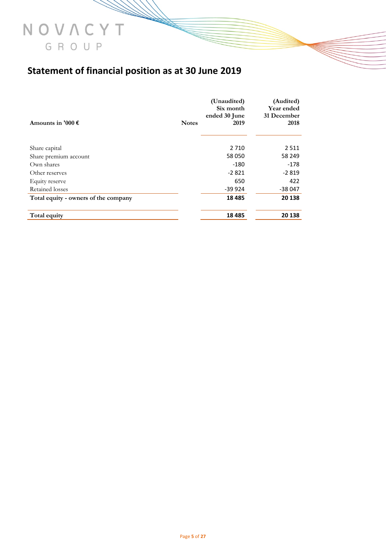# **Statement of financial position as at 30 June 2019**

|                                      |              | (Unaudited)<br>Six month<br>ended 30 June | (Audited)<br>Year ended<br>31 December |
|--------------------------------------|--------------|-------------------------------------------|----------------------------------------|
| Amounts in '000 $\epsilon$           | <b>Notes</b> | 2019                                      | 2018                                   |
|                                      |              |                                           |                                        |
| Share capital                        |              | 2 7 1 0                                   | 2511                                   |
| Share premium account                |              | 58 050                                    | 58 249                                 |
| Own shares                           |              | -180                                      | $-178$                                 |
| Other reserves                       |              | $-2821$                                   | $-2819$                                |
| Equity reserve                       |              | 650                                       | 422                                    |
| Retained losses                      |              | $-39924$                                  | -38 047                                |
| Total equity - owners of the company |              | 18 4 8 5                                  | 20 138                                 |
| Total equity                         |              | 18 4 85                                   | 20 138                                 |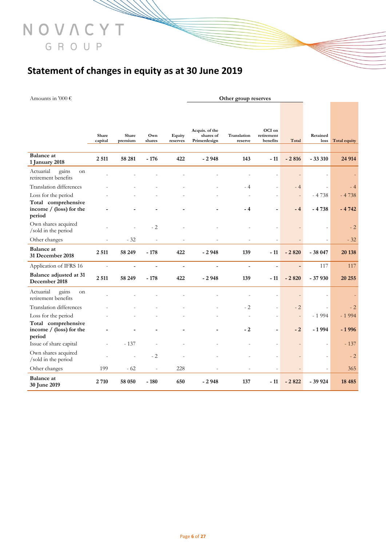# **Statement of changes in equity as at 30 June 2019**

Amounts in '000 € **Other group reserves**

NOVACYT

GROUP

|                                                            |                  |                  |                |                          | Acquis. of the            |                          | OCI on                       |                |                          |                     |
|------------------------------------------------------------|------------------|------------------|----------------|--------------------------|---------------------------|--------------------------|------------------------------|----------------|--------------------------|---------------------|
|                                                            | Share<br>capital | Share<br>premium | Own<br>shares  | Equity<br>reserves       | shares of<br>Primerdesign | Translation<br>reserve   | retirement<br>benefits       | Total          | Retained<br>loss         | <b>Total equity</b> |
| <b>Balance</b> at<br>1 January 2018                        | 2 5 1 1          | 58 281           | $-176$         | 422                      | $-2948$                   | 143                      | $-11$                        | $-2816$        | $-33310$                 | 24 9 14             |
| Actuarial<br>gains<br>on<br>retirement benefits            |                  |                  |                |                          |                           |                          | $\overline{a}$               | $\overline{a}$ |                          |                     |
| Translation differences                                    |                  |                  |                |                          |                           | $-4$                     | $\overline{\phantom{a}}$     | $-4$           | $\overline{\phantom{a}}$ | $-4$                |
| Loss for the period                                        |                  |                  |                |                          |                           |                          | $\overline{a}$               |                | $-4738$                  | $-4738$             |
| Total comprehensive<br>income $/$ (loss) for the<br>period |                  |                  |                |                          |                           | $-4$                     | $\qquad \qquad \blacksquare$ | $-4$           | $-4738$                  | $-4742$             |
| Own shares acquired<br>/sold in the period                 |                  |                  | $-2$           |                          |                           |                          | $\overline{a}$               |                | $\overline{a}$           | $-2$                |
| Other changes                                              | $\overline{a}$   | $-32$            | $\frac{1}{2}$  | $\overline{\phantom{a}}$ |                           | $\overline{\phantom{a}}$ | $\overline{a}$               |                |                          | $-32$               |
| <b>Balance</b> at<br>31 December 2018                      | 2 5 1 1          | 58 249           | $-178$         | 422                      | $-2948$                   | 139                      | $-11$                        | $-2820$        | $-38047$                 | 20 138              |
| Application of IFRS 16                                     | $\overline{a}$   | L,               | ÷,             | $\blacksquare$           | $\overline{a}$            | $\overline{\phantom{a}}$ | $\overline{a}$               | $\overline{a}$ | 117                      | 117                 |
| Balance adjusted at 31<br>December 2018                    | 2 5 1 1          | 58 249           | $-178$         | 422                      | $-2948$                   | 139                      | - 11                         | $-2820$        | $-37930$                 | 20 25 5             |
| Actuarial<br>gains<br>on<br>retirement benefits            |                  |                  |                |                          |                           | $\overline{a}$           | ÷,                           | $\overline{a}$ |                          |                     |
| Translation differences                                    |                  |                  |                |                          |                           | $-2$                     | $\overline{\phantom{a}}$     | $-2$           | $\overline{\phantom{a}}$ | $-2$                |
| Loss for the period                                        |                  |                  |                |                          |                           | $\overline{\phantom{a}}$ | $\overline{a}$               | $\overline{a}$ | $-1994$                  | $-1994$             |
| Total comprehensive<br>income $/$ (loss) for the<br>period |                  |                  |                |                          |                           | $-2$                     | $\blacksquare$               | $-2$           | $-1994$                  | $-1996$             |
| Issue of share capital                                     | $\overline{a}$   | $-137$           | $\overline{a}$ |                          |                           |                          | $\overline{\phantom{a}}$     | $\overline{a}$ | $\overline{\phantom{0}}$ | $-137$              |
| Own shares acquired<br>/sold in the period                 |                  |                  | $-2$           |                          |                           |                          | $\overline{\phantom{a}}$     |                |                          | $-2$                |
| Other changes                                              | 199              | $-62$            | $\overline{a}$ | 228                      |                           |                          | $\overline{a}$               |                |                          | 365                 |
| <b>Balance</b> at<br>30 June 2019                          | 2 7 10           | 58 050           | $-180$         | 650                      | $-2948$                   | 137                      | - 11                         | $-2822$        | $-39924$                 | 18 4 8 5            |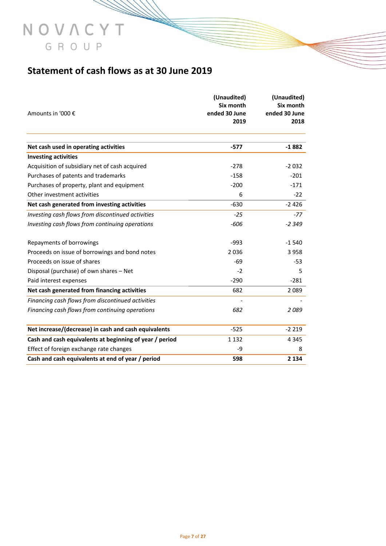# **Statement of cash flows as at 30 June 2019**

NOVACYT

GROUP

| Amounts in '000 €                                       | (Unaudited)<br>Six month<br>ended 30 June<br>2019 | (Unaudited)<br>Six month<br>ended 30 June<br>2018 |
|---------------------------------------------------------|---------------------------------------------------|---------------------------------------------------|
|                                                         |                                                   |                                                   |
| Net cash used in operating activities                   | $-577$                                            | $-1882$                                           |
| <b>Investing activities</b>                             |                                                   |                                                   |
| Acquisition of subsidiary net of cash acquired          | $-278$                                            | $-2032$                                           |
| Purchases of patents and trademarks                     | $-158$                                            | $-201$                                            |
| Purchases of property, plant and equipment              | $-200$                                            | $-171$                                            |
| Other investment activities                             | 6                                                 | $-22$                                             |
| Net cash generated from investing activities            | $-630$                                            | $-2426$                                           |
| Investing cash flows from discontinued activities       | $-25$                                             | $-77$                                             |
| Investing cash flows from continuing operations         | -606                                              | $-2349$                                           |
| Repayments of borrowings                                | $-993$                                            | $-1540$                                           |
| Proceeds on issue of borrowings and bond notes          | 2036                                              | 3 9 5 8                                           |
| Proceeds on issue of shares                             | -69                                               | -53                                               |
| Disposal (purchase) of own shares - Net                 | $-2$                                              | 5                                                 |
| Paid interest expenses                                  | $-290$                                            | $-281$                                            |
| Net cash generated from financing activities            | 682                                               | 2 0 8 9                                           |
| Financing cash flows from discontinued activities       |                                                   |                                                   |
| Financing cash flows from continuing operations         | 682                                               | 2089                                              |
| Net increase/(decrease) in cash and cash equivalents    | $-525$                                            | $-2219$                                           |
| Cash and cash equivalents at beginning of year / period | 1 1 3 2                                           | 4 3 4 5                                           |
| Effect of foreign exchange rate changes                 | -9                                                | 8                                                 |
| Cash and cash equivalents at end of year / period       | 598                                               | 2 1 3 4                                           |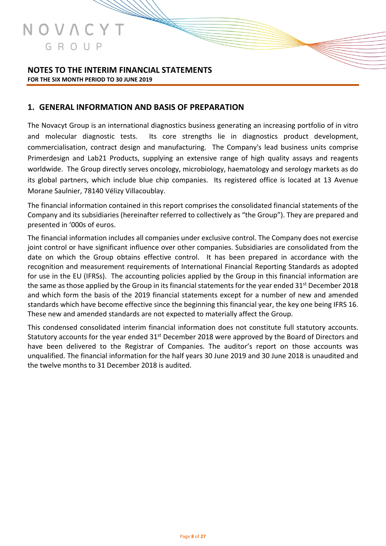

# **NOTES TO THE INTERIM FINANCIAL STATEMENTS FOR THE SIX MONTH PERIOD TO 30 JUNE 2019**

## **1. GENERAL INFORMATION AND BASIS OF PREPARATION**

The Novacyt Group is an international diagnostics business generating an increasing portfolio of in vitro and molecular diagnostic tests. Its core strengths lie in diagnostics product development, commercialisation, contract design and manufacturing. The Company's lead business units comprise Primerdesign and Lab21 Products, supplying an extensive range of high quality assays and reagents worldwide. The Group directly serves oncology, microbiology, haematology and serology markets as do its global partners, which include blue chip companies. Its registered office is located at 13 Avenue Morane Saulnier, 78140 Vélizy Villacoublay.

The financial information contained in this report comprises the consolidated financial statements of the Company and its subsidiaries (hereinafter referred to collectively as "the Group"). They are prepared and presented in '000s of euros.

The financial information includes all companies under exclusive control. The Company does not exercise joint control or have significant influence over other companies. Subsidiaries are consolidated from the date on which the Group obtains effective control. It has been prepared in accordance with the recognition and measurement requirements of International Financial Reporting Standards as adopted for use in the EU (IFRSs). The accounting policies applied by the Group in this financial information are the same as those applied by the Group in its financial statements for the year ended  $31^{st}$  December 2018 and which form the basis of the 2019 financial statements except for a number of new and amended standards which have become effective since the beginning this financial year, the key one being IFRS 16. These new and amended standards are not expected to materially affect the Group.

This condensed consolidated interim financial information does not constitute full statutory accounts. Statutory accounts for the year ended 31<sup>st</sup> December 2018 were approved by the Board of Directors and have been delivered to the Registrar of Companies. The auditor's report on those accounts was unqualified. The financial information for the half years 30 June 2019 and 30 June 2018 is unaudited and the twelve months to 31 December 2018 is audited.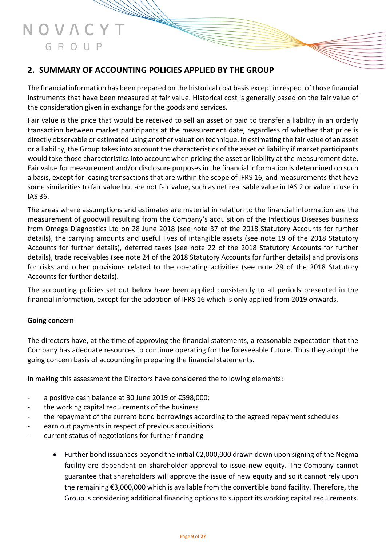# **2. SUMMARY OF ACCOUNTING POLICIES APPLIED BY THE GROUP**

The financial information has been prepared on the historical cost basis except in respect of those financial instruments that have been measured at fair value. Historical cost is generally based on the fair value of the consideration given in exchange for the goods and services.

Fair value is the price that would be received to sell an asset or paid to transfer a liability in an orderly transaction between market participants at the measurement date, regardless of whether that price is directly observable or estimated using another valuation technique. In estimating the fair value of an asset or a liability, the Group takes into account the characteristics of the asset or liability if market participants would take those characteristics into account when pricing the asset or liability at the measurement date. Fair value for measurement and/or disclosure purposes in the financial information is determined on such a basis, except for leasing transactions that are within the scope of IFRS 16, and measurements that have some similarities to fair value but are not fair value, such as net realisable value in IAS 2 or value in use in IAS 36.

The areas where assumptions and estimates are material in relation to the financial information are the measurement of goodwill resulting from the Company's acquisition of the Infectious Diseases business from Omega Diagnostics Ltd on 28 June 2018 (see note 37 of the 2018 Statutory Accounts for further details), the carrying amounts and useful lives of intangible assets (see note 19 of the 2018 Statutory Accounts for further details), deferred taxes (see note 22 of the 2018 Statutory Accounts for further details), trade receivables (see note 24 of the 2018 Statutory Accounts for further details) and provisions for risks and other provisions related to the operating activities (see note 29 of the 2018 Statutory Accounts for further details).

The accounting policies set out below have been applied consistently to all periods presented in the financial information, except for the adoption of IFRS 16 which is only applied from 2019 onwards.

## **Going concern**

The directors have, at the time of approving the financial statements, a reasonable expectation that the Company has adequate resources to continue operating for the foreseeable future. Thus they adopt the going concern basis of accounting in preparing the financial statements.

In making this assessment the Directors have considered the following elements:

- a positive cash balance at 30 June 2019 of €598,000;
- the working capital requirements of the business
- the repayment of the current bond borrowings according to the agreed repayment schedules
- earn out payments in respect of previous acquisitions
- current status of negotiations for further financing
	- Further bond issuances beyond the initial €2,000,000 drawn down upon signing of the Negma facility are dependent on shareholder approval to issue new equity. The Company cannot guarantee that shareholders will approve the issue of new equity and so it cannot rely upon the remaining €3,000,000 which is available from the convertible bond facility. Therefore, the Group is considering additional financing options to support its working capital requirements.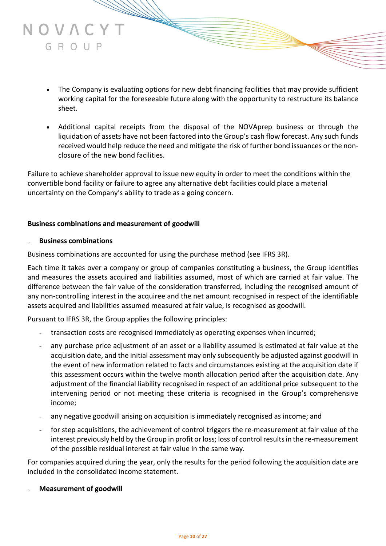- The Company is evaluating options for new debt financing facilities that may provide sufficient working capital for the foreseeable future along with the opportunity to restructure its balance sheet.
- Additional capital receipts from the disposal of the NOVAprep business or through the liquidation of assets have not been factored into the Group's cash flow forecast. Any such funds received would help reduce the need and mitigate the risk of further bond issuances or the nonclosure of the new bond facilities.

Failure to achieve shareholder approval to issue new equity in order to meet the conditions within the convertible bond facility or failure to agree any alternative debt facilities could place a material uncertainty on the Company's ability to trade as a going concern.

### **Business combinations and measurement of goodwill**

### <sup>o</sup> **Business combinations**

JOVAC

GROUP

Business combinations are accounted for using the purchase method (see IFRS 3R).

Each time it takes over a company or group of companies constituting a business, the Group identifies and measures the assets acquired and liabilities assumed, most of which are carried at fair value. The difference between the fair value of the consideration transferred, including the recognised amount of any non-controlling interest in the acquiree and the net amount recognised in respect of the identifiable assets acquired and liabilities assumed measured at fair value, is recognised as goodwill.

Pursuant to IFRS 3R, the Group applies the following principles:

- transaction costs are recognised immediately as operating expenses when incurred;
- any purchase price adjustment of an asset or a liability assumed is estimated at fair value at the acquisition date, and the initial assessment may only subsequently be adjusted against goodwill in the event of new information related to facts and circumstances existing at the acquisition date if this assessment occurs within the twelve month allocation period after the acquisition date. Any adjustment of the financial liability recognised in respect of an additional price subsequent to the intervening period or not meeting these criteria is recognised in the Group's comprehensive income;
- any negative goodwill arising on acquisition is immediately recognised as income; and
- for step acquisitions, the achievement of control triggers the re-measurement at fair value of the interest previously held by the Group in profit or loss; loss of control results in the re-measurement of the possible residual interest at fair value in the same way.

For companies acquired during the year, only the results for the period following the acquisition date are included in the consolidated income statement.

**Measurement of goodwill**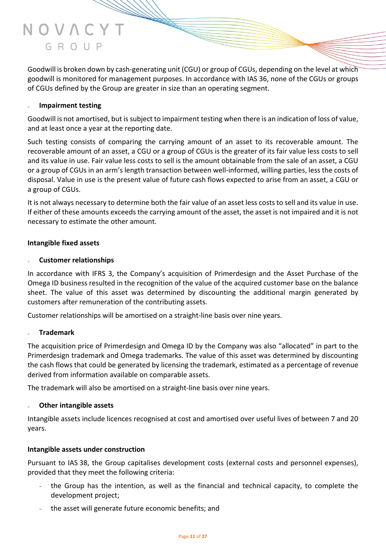Goodwill is broken down by cash-generating unit (CGU) or group of CGUs, depending on the level at which goodwill is monitored for management purposes. In accordance with IAS 36, none of the CGUs or groups of CGUs defined by the Group are greater in size than an operating segment.

### <sup>o</sup> **Impairment testing**

Goodwill is not amortised, but is subject to impairment testing when there is an indication of loss of value, and at least once a year at the reporting date.

Such testing consists of comparing the carrying amount of an asset to its recoverable amount. The recoverable amount of an asset, a CGU or a group of CGUs is the greater of its fair value less costs to sell and its value in use. Fair value less costs to sell is the amount obtainable from the sale of an asset, a CGU or a group of CGUs in an arm's length transaction between well-informed, willing parties, less the costs of disposal. Value in use is the present value of future cash flows expected to arise from an asset, a CGU or a group of CGUs.

It is not always necessary to determine both the fair value of an asset less costs to sell and its value in use. If either of these amounts exceeds the carrying amount of the asset, the asset is not impaired and it is not necessary to estimate the other amount.

### **Intangible fixed assets**

### **Customer relationships**

In accordance with IFRS 3, the Company's acquisition of Primerdesign and the Asset Purchase of the Omega ID business resulted in the recognition of the value of the acquired customer base on the balance sheet. The value of this asset was determined by discounting the additional margin generated by customers after remuneration of the contributing assets.

Customer relationships will be amortised on a straight-line basis over nine years.

### <sup>o</sup> **Trademark**

The acquisition price of Primerdesign and Omega ID by the Company was also "allocated" in part to the Primerdesign trademark and Omega trademarks. The value of this asset was determined by discounting the cash flows that could be generated by licensing the trademark, estimated as a percentage of revenue derived from information available on comparable assets.

The trademark will also be amortised on a straight-line basis over nine years.

### **Other intangible assets**

Intangible assets include licences recognised at cost and amortised over useful lives of between 7 and 20 years.

### **Intangible assets under construction**

Pursuant to IAS 38, the Group capitalises development costs (external costs and personnel expenses), provided that they meet the following criteria:

- the Group has the intention, as well as the financial and technical capacity, to complete the development project;
- the asset will generate future economic benefits; and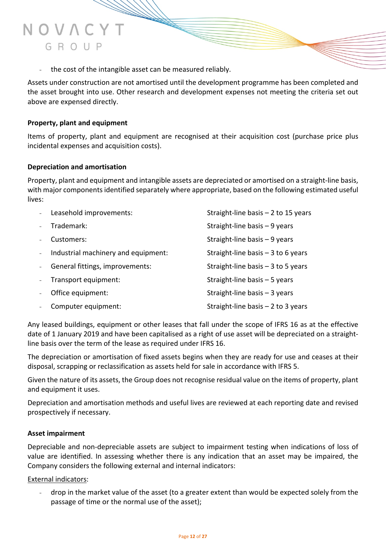

Assets under construction are not amortised until the development programme has been completed and the asset brought into use. Other research and development expenses not meeting the criteria set out above are expensed directly.

## **Property, plant and equipment**

NOVAC

GROUP

Items of property, plant and equipment are recognised at their acquisition cost (purchase price plus incidental expenses and acquisition costs).

### **Depreciation and amortisation**

Property, plant and equipment and intangible assets are depreciated or amortised on a straight-line basis, with major components identified separately where appropriate, based on the following estimated useful lives:

| Leasehold improvements:             | Straight-line basis $-2$ to 15 years |
|-------------------------------------|--------------------------------------|
| Trademark:                          | Straight-line basis $-9$ years       |
| Customers:                          | Straight-line basis $-9$ years       |
| Industrial machinery and equipment: | Straight-line basis $-3$ to 6 years  |
| General fittings, improvements:     | Straight-line basis $-3$ to 5 years  |
| Transport equipment:                | Straight-line basis $-5$ years       |
| Office equipment:                   | Straight-line basis $-3$ years       |
| Computer equipment:                 | Straight-line basis $-2$ to 3 years  |

Any leased buildings, equipment or other leases that fall under the scope of IFRS 16 as at the effective date of 1 January 2019 and have been capitalised as a right of use asset will be depreciated on a straightline basis over the term of the lease as required under IFRS 16.

The depreciation or amortisation of fixed assets begins when they are ready for use and ceases at their disposal, scrapping or reclassification as assets held for sale in accordance with IFRS 5.

Given the nature of its assets, the Group does not recognise residual value on the items of property, plant and equipment it uses.

Depreciation and amortisation methods and useful lives are reviewed at each reporting date and revised prospectively if necessary.

### **Asset impairment**

Depreciable and non-depreciable assets are subject to impairment testing when indications of loss of value are identified. In assessing whether there is any indication that an asset may be impaired, the Company considers the following external and internal indicators:

### External indicators:

- drop in the market value of the asset (to a greater extent than would be expected solely from the passage of time or the normal use of the asset);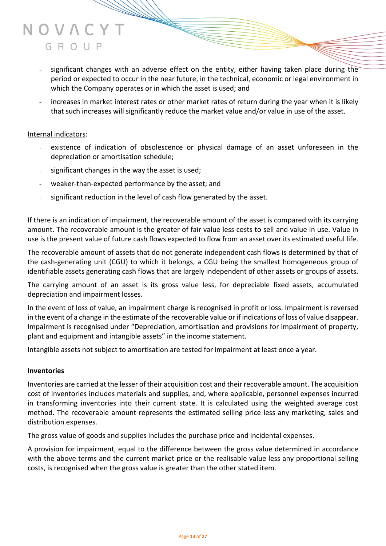- significant changes with an adverse effect on the entity, either having taken place during the period or expected to occur in the near future, in the technical, economic or legal environment in which the Company operates or in which the asset is used; and
- increases in market interest rates or other market rates of return during the year when it is likely that such increases will significantly reduce the market value and/or value in use of the asset.

### Internal indicators:

- existence of indication of obsolescence or physical damage of an asset unforeseen in the depreciation or amortisation schedule;
- significant changes in the way the asset is used;
- weaker-than-expected performance by the asset; and
- significant reduction in the level of cash flow generated by the asset.

If there is an indication of impairment, the recoverable amount of the asset is compared with its carrying amount. The recoverable amount is the greater of fair value less costs to sell and value in use. Value in use is the present value of future cash flows expected to flow from an asset over its estimated useful life.

The recoverable amount of assets that do not generate independent cash flows is determined by that of the cash-generating unit (CGU) to which it belongs, a CGU being the smallest homogeneous group of identifiable assets generating cash flows that are largely independent of other assets or groups of assets.

The carrying amount of an asset is its gross value less, for depreciable fixed assets, accumulated depreciation and impairment losses.

In the event of loss of value, an impairment charge is recognised in profit or loss. Impairment is reversed in the event of a change in the estimate of the recoverable value or if indications of loss of value disappear. Impairment is recognised under "Depreciation, amortisation and provisions for impairment of property, plant and equipment and intangible assets" in the income statement.

Intangible assets not subject to amortisation are tested for impairment at least once a year.

#### **Inventories**

Inventories are carried at the lesser of their acquisition cost and their recoverable amount. The acquisition cost of inventories includes materials and supplies, and, where applicable, personnel expenses incurred in transforming inventories into their current state. It is calculated using the weighted average cost method. The recoverable amount represents the estimated selling price less any marketing, sales and distribution expenses.

The gross value of goods and supplies includes the purchase price and incidental expenses.

A provision for impairment, equal to the difference between the gross value determined in accordance with the above terms and the current market price or the realisable value less any proportional selling costs, is recognised when the gross value is greater than the other stated item.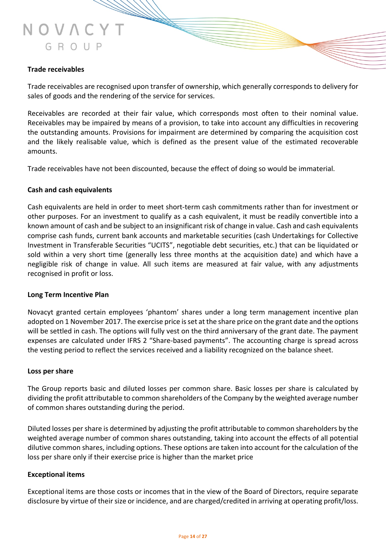#### **Trade receivables**

Trade receivables are recognised upon transfer of ownership, which generally corresponds to delivery for sales of goods and the rendering of the service for services.

Receivables are recorded at their fair value, which corresponds most often to their nominal value. Receivables may be impaired by means of a provision, to take into account any difficulties in recovering the outstanding amounts. Provisions for impairment are determined by comparing the acquisition cost and the likely realisable value, which is defined as the present value of the estimated recoverable amounts.

Trade receivables have not been discounted, because the effect of doing so would be immaterial.

#### **Cash and cash equivalents**

Cash equivalents are held in order to meet short-term cash commitments rather than for investment or other purposes. For an investment to qualify as a cash equivalent, it must be readily convertible into a known amount of cash and be subject to an insignificant risk of change in value. Cash and cash equivalents comprise cash funds, current bank accounts and marketable securities (cash Undertakings for Collective Investment in Transferable Securities "UCITS", negotiable debt securities, etc.) that can be liquidated or sold within a very short time (generally less three months at the acquisition date) and which have a negligible risk of change in value. All such items are measured at fair value, with any adjustments recognised in profit or loss.

#### **Long Term Incentive Plan**

Novacyt granted certain employees 'phantom' shares under a long term management incentive plan adopted on 1 November 2017. The exercise price is set at the share price on the grant date and the options will be settled in cash. The options will fully vest on the third anniversary of the grant date. The payment expenses are calculated under IFRS 2 "Share-based payments". The accounting charge is spread across the vesting period to reflect the services received and a liability recognized on the balance sheet.

#### **Loss per share**

The Group reports basic and diluted losses per common share. Basic losses per share is calculated by dividing the profit attributable to common shareholders of the Company by the weighted average number of common shares outstanding during the period.

Diluted losses per share is determined by adjusting the profit attributable to common shareholders by the weighted average number of common shares outstanding, taking into account the effects of all potential dilutive common shares, including options. These options are taken into account for the calculation of the loss per share only if their exercise price is higher than the market price

#### **Exceptional items**

Exceptional items are those costs or incomes that in the view of the Board of Directors, require separate disclosure by virtue of their size or incidence, and are charged/credited in arriving at operating profit/loss.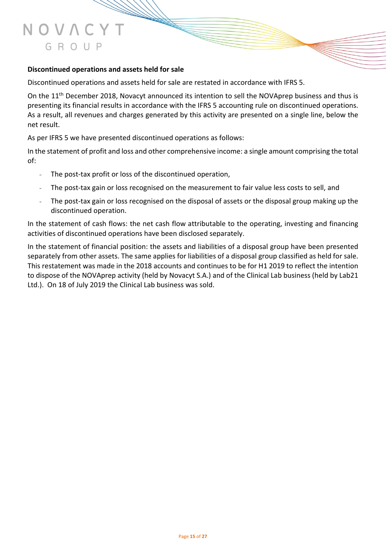### **Discontinued operations and assets held for sale**

Discontinued operations and assets held for sale are restated in accordance with IFRS 5.

On the 11<sup>th</sup> December 2018, Novacyt announced its intention to sell the NOVAprep business and thus is presenting its financial results in accordance with the IFRS 5 accounting rule on discontinued operations. As a result, all revenues and charges generated by this activity are presented on a single line, below the net result.

As per IFRS 5 we have presented discontinued operations as follows:

In the statement of profit and loss and other comprehensive income: a single amount comprising the total of:

- The post-tax profit or loss of the discontinued operation.
- The post-tax gain or loss recognised on the measurement to fair value less costs to sell, and
- The post-tax gain or loss recognised on the disposal of assets or the disposal group making up the discontinued operation.

In the statement of cash flows: the net cash flow attributable to the operating, investing and financing activities of discontinued operations have been disclosed separately.

In the statement of financial position: the assets and liabilities of a disposal group have been presented separately from other assets. The same applies for liabilities of a disposal group classified as held for sale. This restatement was made in the 2018 accounts and continues to be for H1 2019 to reflect the intention to dispose of the NOVAprep activity (held by Novacyt S.A.) and of the Clinical Lab business (held by Lab21 Ltd.). On 18 of July 2019 the Clinical Lab business was sold.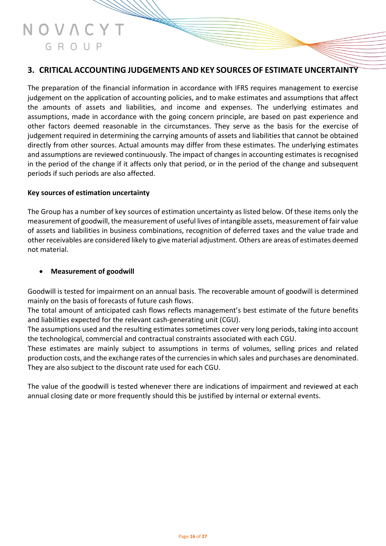# **3. CRITICAL ACCOUNTING JUDGEMENTS AND KEY SOURCES OF ESTIMATE UNCERTAINTY**

The preparation of the financial information in accordance with IFRS requires management to exercise judgement on the application of accounting policies, and to make estimates and assumptions that affect the amounts of assets and liabilities, and income and expenses. The underlying estimates and assumptions, made in accordance with the going concern principle, are based on past experience and other factors deemed reasonable in the circumstances. They serve as the basis for the exercise of judgement required in determining the carrying amounts of assets and liabilities that cannot be obtained directly from other sources. Actual amounts may differ from these estimates. The underlying estimates and assumptions are reviewed continuously. The impact of changes in accounting estimates is recognised in the period of the change if it affects only that period, or in the period of the change and subsequent periods if such periods are also affected.

### **Key sources of estimation uncertainty**

The Group has a number of key sources of estimation uncertainty as listed below. Of these items only the measurement of goodwill, the measurement of useful lives of intangible assets, measurement of fair value of assets and liabilities in business combinations, recognition of deferred taxes and the value trade and other receivables are considered likely to give material adjustment. Others are areas of estimates deemed not material.

## • **Measurement of goodwill**

Goodwill is tested for impairment on an annual basis. The recoverable amount of goodwill is determined mainly on the basis of forecasts of future cash flows.

The total amount of anticipated cash flows reflects management's best estimate of the future benefits and liabilities expected for the relevant cash-generating unit (CGU).

The assumptions used and the resulting estimates sometimes cover very long periods, taking into account the technological, commercial and contractual constraints associated with each CGU.

These estimates are mainly subject to assumptions in terms of volumes, selling prices and related production costs, and the exchange rates of the currencies in which sales and purchases are denominated. They are also subject to the discount rate used for each CGU.

The value of the goodwill is tested whenever there are indications of impairment and reviewed at each annual closing date or more frequently should this be justified by internal or external events.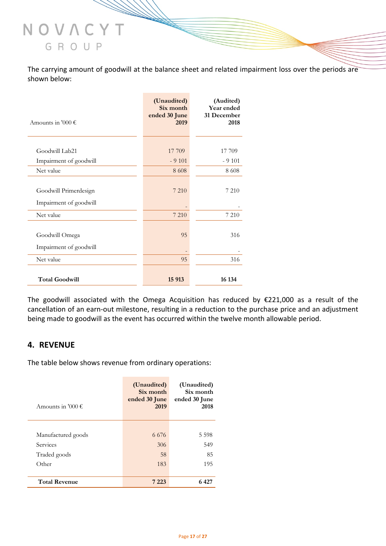The carrying amount of goodwill at the balance sheet and related impairment loss over the periods are shown below:

| Amounts in '000 $\epsilon$                      | (Unaudited)<br>Six month<br>ended 30 June<br>2019 | (Audited)<br>Year ended<br>31 December<br>2018 |
|-------------------------------------------------|---------------------------------------------------|------------------------------------------------|
|                                                 |                                                   |                                                |
| Goodwill Lab21                                  | 17 709                                            | 17 709                                         |
| Impairment of goodwill                          | $-9101$                                           | $-9101$                                        |
| Net value                                       | 8 6 0 8                                           | 8 6 0 8                                        |
| Goodwill Primerdesign<br>Impairment of goodwill | 7 2 1 0                                           | 7 210                                          |
| Net value                                       | 7 210                                             | 7 2 1 0                                        |
| Goodwill Omega<br>Impairment of goodwill        | 95                                                | 316                                            |
| Net value                                       | 95                                                | 316                                            |
| <b>Total Goodwill</b>                           | 15 913                                            | 16 134                                         |

The goodwill associated with the Omega Acquisition has reduced by €221,000 as a result of the cancellation of an earn-out milestone, resulting in a reduction to the purchase price and an adjustment being made to goodwill as the event has occurred within the twelve month allowable period.

# **4. REVENUE**

The table below shows revenue from ordinary operations:

| Amounts in '000 $\epsilon$ | (Unaudited)<br>Six month<br>ended 30 June<br>2019 | (Unaudited)<br>Six month<br>ended 30 June<br>2018 |
|----------------------------|---------------------------------------------------|---------------------------------------------------|
|                            |                                                   |                                                   |
| Manufactured goods         | 6.676                                             | 5 5 9 8                                           |
| Services                   | 306                                               | 549                                               |
| Traded goods               | 58                                                | 85                                                |
| Other                      | 183                                               | 195                                               |
|                            |                                                   |                                                   |
| <b>Total Revenue</b>       | 7 2 2 3                                           | 6427                                              |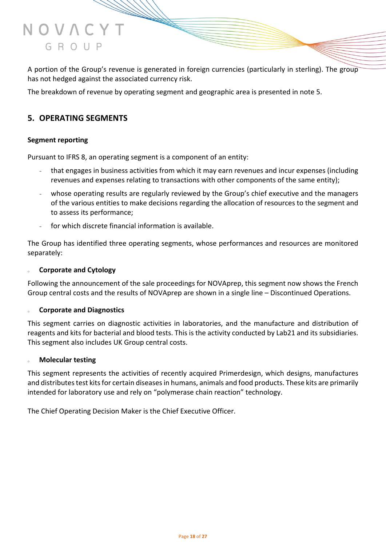

A portion of the Group's revenue is generated in foreign currencies (particularly in sterling). The group has not hedged against the associated currency risk.

The breakdown of revenue by operating segment and geographic area is presented in note 5.

# **5. OPERATING SEGMENTS**

#### **Segment reporting**

Pursuant to IFRS 8, an operating segment is a component of an entity:

- that engages in business activities from which it may earn revenues and incur expenses (including revenues and expenses relating to transactions with other components of the same entity);
- whose operating results are regularly reviewed by the Group's chief executive and the managers of the various entities to make decisions regarding the allocation of resources to the segment and to assess its performance;
- for which discrete financial information is available.

The Group has identified three operating segments, whose performances and resources are monitored separately:

#### **Corporate and Cytology**

Following the announcement of the sale proceedings for NOVAprep, this segment now shows the French Group central costs and the results of NOVAprep are shown in a single line – Discontinued Operations.

#### <sup>o</sup> **Corporate and Diagnostics**

This segment carries on diagnostic activities in laboratories, and the manufacture and distribution of reagents and kits for bacterial and blood tests. This is the activity conducted by Lab21 and its subsidiaries. This segment also includes UK Group central costs.

#### **Molecular testing**

This segment represents the activities of recently acquired Primerdesign, which designs, manufactures and distributes test kits for certain diseases in humans, animals and food products. These kits are primarily intended for laboratory use and rely on "polymerase chain reaction" technology.

The Chief Operating Decision Maker is the Chief Executive Officer.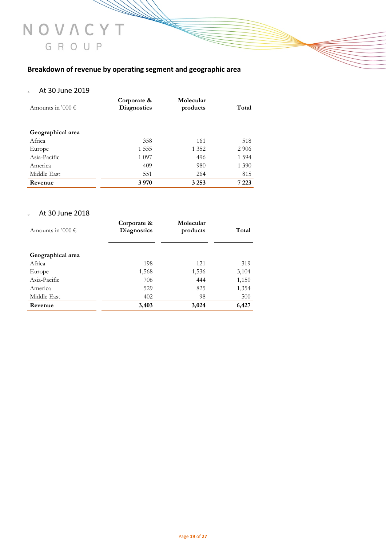# **Breakdown of revenue by operating segment and geographic area**

## <sup>o</sup> At 30 June 2019

| Amounts in '000 $\epsilon$ | Corporate &<br><b>Diagnostics</b> | Molecular<br>products | Total   |
|----------------------------|-----------------------------------|-----------------------|---------|
| Geographical area          |                                   |                       |         |
| Africa                     | 358                               | 161                   | 518     |
| Europe                     | 1 5 5 5                           | 1 3 5 2               | 2 9 0 6 |
| Asia-Pacific               | 1 0 9 7                           | 496                   | 1 5 9 4 |
| America                    | 409                               | 980                   | 1 3 9 0 |
| Middle East                | 551                               | 264                   | 815     |
| Revenue                    | 3 9 7 0                           | 3 2 5 3               | 7 2 2 3 |

### <sup>o</sup> At 30 June 2018

| Amounts in '000 $\epsilon$ | Corporate &<br><b>Diagnostics</b> | Molecular<br>products | Total |
|----------------------------|-----------------------------------|-----------------------|-------|
| Geographical area          |                                   |                       |       |
| Africa                     | 198                               | 121                   | 319   |
| Europe                     | 1,568                             | 1,536                 | 3,104 |
| Asia-Pacific               | 706                               | 444                   | 1,150 |
| America                    | 529                               | 825                   | 1,354 |
| Middle East                | 402                               | 98                    | 500   |
| Revenue                    | 3,403                             | 3,024                 | 6,427 |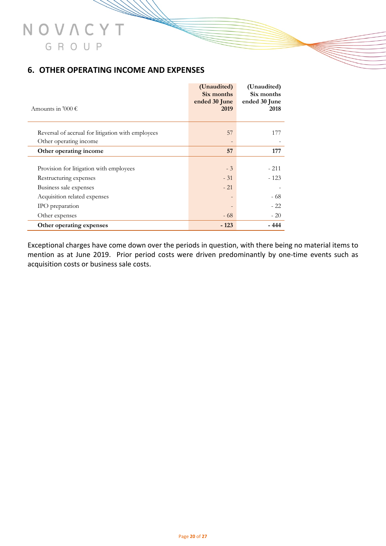# **6. OTHER OPERATING INCOME AND EXPENSES**

| Amounts in '000 $\epsilon$                                                                                                                     | (Unaudited)<br>Six months<br>ended 30 June<br>2019 | (Unaudited)<br>Six months<br>ended 30 June<br>2018 |
|------------------------------------------------------------------------------------------------------------------------------------------------|----------------------------------------------------|----------------------------------------------------|
| Reversal of accrual for litigation with employees<br>Other operating income                                                                    | 57                                                 | 177                                                |
| Other operating income                                                                                                                         | 57                                                 | 177                                                |
| Provision for litigation with employees<br>Restructuring expenses<br>Business sale expenses<br>Acquisition related expenses<br>IPO preparation | $-3$<br>$-31$<br>$-21$<br>$\overline{\phantom{0}}$ | $-211$<br>$-123$<br>- 68<br>$-22$                  |
| Other expenses                                                                                                                                 | $-68$                                              | $-20$                                              |
| Other operating expenses                                                                                                                       | $-123$                                             | - 444                                              |

Exceptional charges have come down over the periods in question, with there being no material items to mention as at June 2019. Prior period costs were driven predominantly by one-time events such as acquisition costs or business sale costs.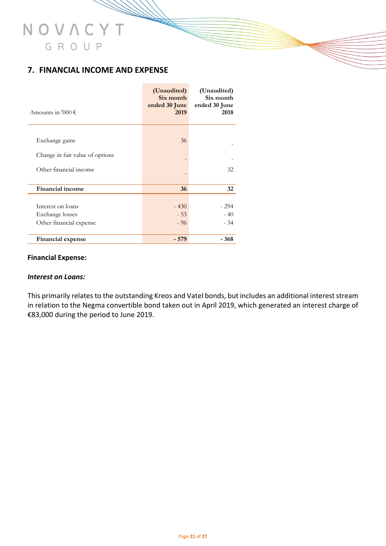# **7. FINANCIAL INCOME AND EXPENSE**

| Amounts in '000 $\epsilon$                                      | (Unaudited)<br>Six month<br>ended 30 June<br>2019 | (Unaudited)<br>Six month<br>ended 30 June<br>2018 |
|-----------------------------------------------------------------|---------------------------------------------------|---------------------------------------------------|
| Exchange gains                                                  | 36                                                |                                                   |
| Change in fair value of options                                 |                                                   |                                                   |
| Other financial income                                          |                                                   | 32                                                |
| <b>Financial income</b>                                         | 36                                                | 32                                                |
| Interest on loans<br>Exchange losses<br>Other financial expense | $-430$<br>$-53$<br>$-96$                          | $-294$<br>$-40$<br>$-34$                          |
| Financial expense                                               | $-579$                                            | $-368$                                            |

#### **Financial Expense:**

#### *Interest on Loans:*

This primarily relates to the outstanding Kreos and Vatel bonds, but includes an additional interest stream in relation to the Negma convertible bond taken out in April 2019, which generated an interest charge of €83,000 during the period to June 2019.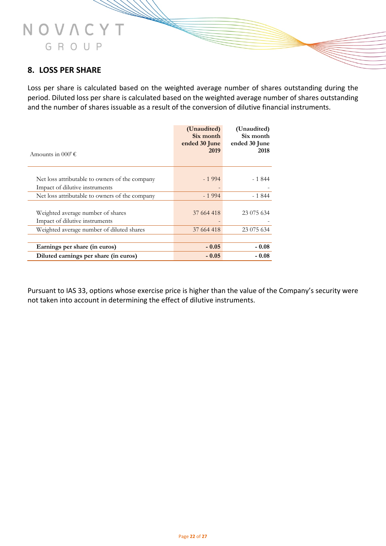# **8. LOSS PER SHARE**

NOVACYT

GROUP

Loss per share is calculated based on the weighted average number of shares outstanding during the period. Diluted loss per share is calculated based on the weighted average number of shares outstanding and the number of shares issuable as a result of the conversion of dilutive financial instruments.

| Amounts in 000' $\epsilon$                     | (Unaudited)<br>Six month<br>ended 30 June<br>2019 | (Unaudited)<br>Six month<br>ended 30 June<br>2018 |
|------------------------------------------------|---------------------------------------------------|---------------------------------------------------|
|                                                |                                                   |                                                   |
| Net loss attributable to owners of the company | $-1994$                                           | - 1 844                                           |
| Impact of dilutive instruments                 |                                                   |                                                   |
| Net loss attributable to owners of the company | $-1994$                                           | $-1844$                                           |
|                                                |                                                   |                                                   |
| Weighted average number of shares              | 37 664 418                                        | 23 075 634                                        |
| Impact of dilutive instruments                 |                                                   |                                                   |
| Weighted average number of diluted shares      | 37 664 418                                        | 23 075 634                                        |
|                                                |                                                   |                                                   |
| Earnings per share (in euros)                  | $-0.05$                                           | $-0.08$                                           |
| Diluted earnings per share (in euros)          | $-0.05$                                           | $-0.08$                                           |

Pursuant to IAS 33, options whose exercise price is higher than the value of the Company's security were not taken into account in determining the effect of dilutive instruments.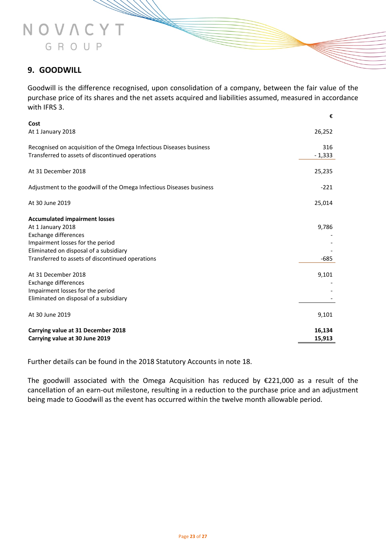# **9. GOODWILL**

NOVACYT

GROUP

Goodwill is the difference recognised, upon consolidation of a company, between the fair value of the purchase price of its shares and the net assets acquired and liabilities assumed, measured in accordance with IFRS 3.

|                                                                                                                                | €                |
|--------------------------------------------------------------------------------------------------------------------------------|------------------|
| Cost<br>At 1 January 2018                                                                                                      | 26,252           |
| Recognised on acquisition of the Omega Infectious Diseases business<br>Transferred to assets of discontinued operations        | 316<br>$-1,333$  |
| At 31 December 2018                                                                                                            | 25,235           |
| Adjustment to the goodwill of the Omega Infectious Diseases business                                                           | $-221$           |
| At 30 June 2019                                                                                                                | 25,014           |
| <b>Accumulated impairment losses</b><br>At 1 January 2018<br><b>Exchange differences</b>                                       | 9,786            |
| Impairment losses for the period<br>Eliminated on disposal of a subsidiary<br>Transferred to assets of discontinued operations | $-685$           |
| At 31 December 2018<br><b>Exchange differences</b>                                                                             | 9,101            |
| Impairment losses for the period<br>Eliminated on disposal of a subsidiary                                                     |                  |
| At 30 June 2019                                                                                                                | 9,101            |
| Carrying value at 31 December 2018<br>Carrying value at 30 June 2019                                                           | 16,134<br>15,913 |

Further details can be found in the 2018 Statutory Accounts in note 18.

The goodwill associated with the Omega Acquisition has reduced by €221,000 as a result of the cancellation of an earn-out milestone, resulting in a reduction to the purchase price and an adjustment being made to Goodwill as the event has occurred within the twelve month allowable period.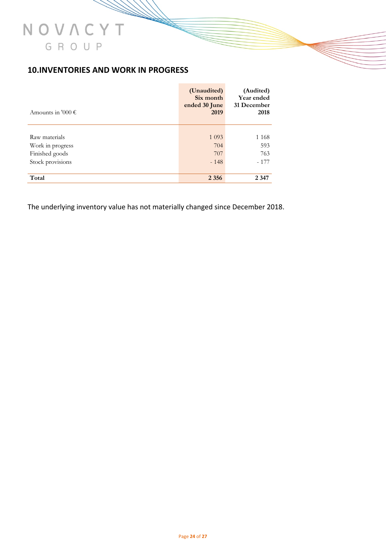# **10.INVENTORIES AND WORK IN PROGRESS**

| Amounts in '000 $\epsilon$ | (Unaudited)<br>Six month<br>ended 30 June<br>2019 | (Audited)<br><b>Year ended</b><br>31 December<br>2018 |
|----------------------------|---------------------------------------------------|-------------------------------------------------------|
|                            |                                                   |                                                       |
| Raw materials              | 1 0 9 3                                           | 1 1 6 8                                               |
| Work in progress           | 704                                               | 593                                                   |
| Finished goods             | 707                                               | 763                                                   |
| Stock provisions           | $-148$                                            | $-177$                                                |
|                            |                                                   |                                                       |
| Total                      | 2 3 5 6                                           | 2 3 4 7                                               |

The underlying inventory value has not materially changed since December 2018.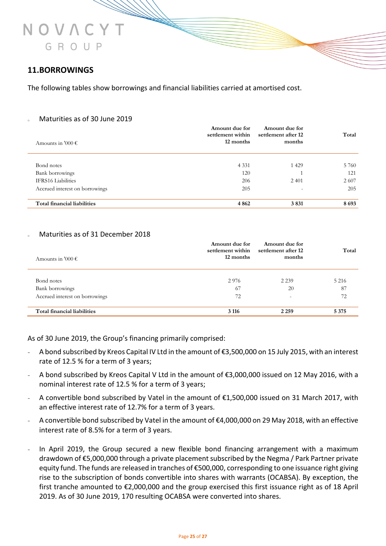# **11.BORROWINGS**

The following tables show borrowings and financial liabilities carried at amortised cost.

#### <sup>o</sup> Maturities as of 30 June 2019

|                                | Amount due for<br>settlement within | Amount due for<br>settlement after 12 | Total |
|--------------------------------|-------------------------------------|---------------------------------------|-------|
| Amounts in '000 $\epsilon$     | 12 months                           | months                                |       |
|                                |                                     |                                       |       |
| Bond notes                     | 4 3 3 1                             | 1 4 2 9                               | 5 760 |
| Bank borrowings                | 120                                 |                                       | 121   |
| <b>IFRS16</b> Liabilities      | 206                                 | 2 4 0 1                               | 2 607 |
| Accrued interest on borrowings | 205                                 | $\overline{\phantom{0}}$              | 205   |
|                                |                                     |                                       |       |
| Total financial liabilities    | 4 8 6 2                             | 3831                                  | 8693  |

#### Maturities as of 31 December 2018

| Amounts in '000 $\epsilon$     | Amount due for<br>settlement within<br>12 months | Amount due for<br>settlement after 12<br>months | Total   |
|--------------------------------|--------------------------------------------------|-------------------------------------------------|---------|
| Bond notes                     | 2976                                             | 2 2 3 9                                         | 5 2 1 6 |
| Bank borrowings                | 67                                               | 20                                              | 87      |
| Accrued interest on borrowings | 72                                               | $\overline{\phantom{a}}$                        | 72      |
| Total financial liabilities    | 3 1 1 6                                          | 2 2 5 9                                         | 5 3 7 5 |

As of 30 June 2019, the Group's financing primarily comprised:

- A bond subscribed by Kreos Capital IV Ltd in the amount of €3,500,000 on 15 July 2015, with an interest rate of 12.5 % for a term of 3 years;
- A bond subscribed by Kreos Capital V Ltd in the amount of €3,000,000 issued on 12 May 2016, with a nominal interest rate of 12.5 % for a term of 3 years;
- A convertible bond subscribed by Vatel in the amount of €1,500,000 issued on 31 March 2017, with an effective interest rate of 12.7% for a term of 3 years.
- A convertible bond subscribed by Vatel in the amount of €4,000,000 on 29 May 2018, with an effective interest rate of 8.5% for a term of 3 years.
- In April 2019, the Group secured a new flexible bond financing arrangement with a maximum drawdown of €5,000,000 through a private placement subscribed by the Negma / Park Partner private equity fund. The funds are released in tranches of €500,000, corresponding to one issuance right giving rise to the subscription of bonds convertible into shares with warrants (OCABSA). By exception, the first tranche amounted to €2,000,000 and the group exercised this first issuance right as of 18 April 2019. As of 30 June 2019, 170 resulting OCABSA were converted into shares.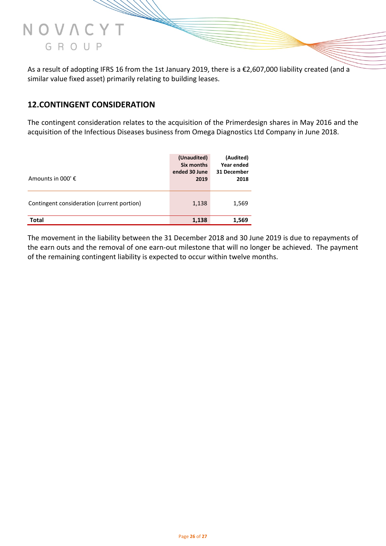

As a result of adopting IFRS 16 from the 1st January 2019, there is a €2,607,000 liability created (and a similar value fixed asset) primarily relating to building leases.

# **12.CONTINGENT CONSIDERATION**

The contingent consideration relates to the acquisition of the Primerdesign shares in May 2016 and the acquisition of the Infectious Diseases business from Omega Diagnostics Ltd Company in June 2018.

| Amounts in 000' $\epsilon$                 | (Unaudited)<br>Six months<br>ended 30 June<br>2019 | (Audited)<br>Year ended<br>31 December<br>2018 |
|--------------------------------------------|----------------------------------------------------|------------------------------------------------|
| Contingent consideration (current portion) | 1,138                                              | 1,569                                          |
| <b>Total</b>                               | 1,138                                              | 1,569                                          |

The movement in the liability between the 31 December 2018 and 30 June 2019 is due to repayments of the earn outs and the removal of one earn-out milestone that will no longer be achieved. The payment of the remaining contingent liability is expected to occur within twelve months.